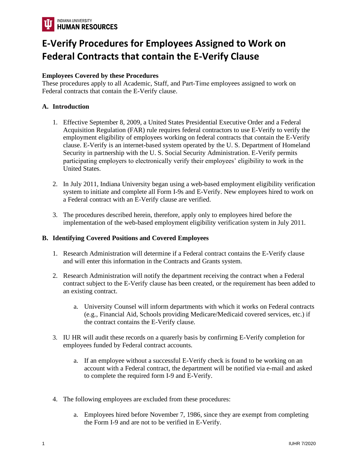

## **E-Verify Procedures for Employees Assigned to Work on Federal Contracts that contain the E-Verify Clause**

## **Employees Covered by these Procedures**

These procedures apply to all Academic, Staff, and Part-Time employees assigned to work on Federal contracts that contain the E-Verify clause.

## **A. Introduction**

- 1. Effective September 8, 2009, a United States Presidential Executive Order and a Federal Acquisition Regulation (FAR) rule requires federal contractors to use E-Verify to verify the employment eligibility of employees working on federal contracts that contain the E-Verify clause. E-Verify is an internet-based system operated by the U. S. Department of Homeland Security in partnership with the U. S. Social Security Administration. E-Verify permits participating employers to electronically verify their employees' eligibility to work in the United States.
- 2. In July 2011, Indiana University began using a web-based employment eligibility verification system to initiate and complete all Form I-9s and E-Verify. New employees hired to work on a Federal contract with an E-Verify clause are verified.
- 3. The procedures described herein, therefore, apply only to employees hired before the implementation of the web-based employment eligibility verification system in July 2011.

## **B. Identifying Covered Positions and Covered Employees**

- 1. Research Administration will determine if a Federal contract contains the E-Verify clause and will enter this information in the Contracts and Grants system.
- 2. Research Administration will notify the department receiving the contract when a Federal contract subject to the E-Verify clause has been created, or the requirement has been added to an existing contract.
	- a. University Counsel will inform departments with which it works on Federal contracts (e.g., Financial Aid, Schools providing Medicare/Medicaid covered services, etc.) if the contract contains the E-Verify clause.
- 3. IU HR will audit these records on a quarerly basis by confirming E-Verify completion for employees funded by Federal contract accounts.
	- a. If an employee without a successful E-Verify check is found to be working on an account with a Federal contract, the department will be notified via e-mail and asked to complete the required form I-9 and E-Verify.
- 4. The following employees are excluded from these procedures:
	- a. Employees hired before November 7, 1986, since they are exempt from completing the Form I-9 and are not to be verified in E-Verify.